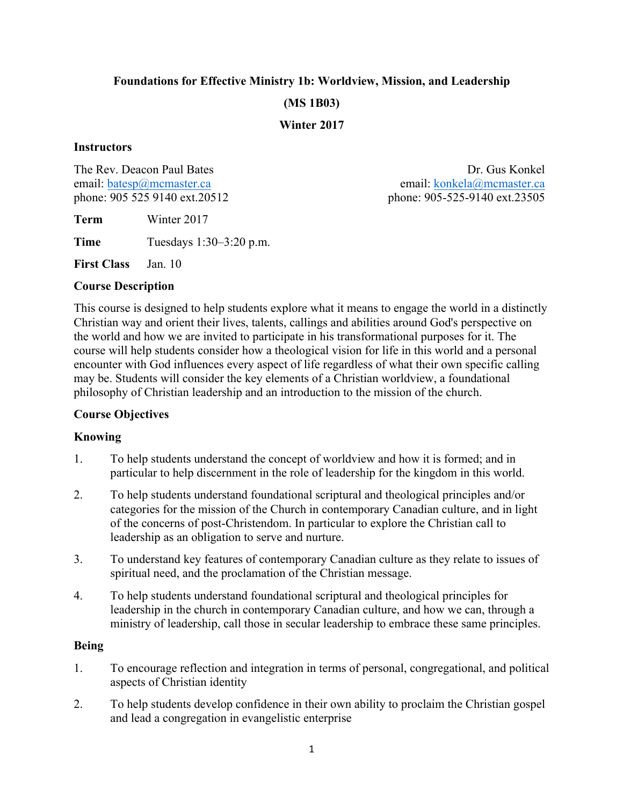# **Foundations for Effective Ministry 1b: Worldview, Mission, and Leadership (MS 1B03)**

#### **Winter 2017**

#### **Instructors**

**Term** Winter 2017

**Time** Tuesdays 1:30–3:20 p.m.

**First Class** Jan. 10

#### **Course Description**

This course is designed to help students explore what it means to engage the world in a distinctly Christian way and orient their lives, talents, callings and abilities around God's perspective on the world and how we are invited to participate in his transformational purposes for it. The course will help students consider how a theological vision for life in this world and a personal encounter with God influences every aspect of life regardless of what their own specific calling may be. Students will consider the key elements of a Christian worldview, a foundational philosophy of Christian leadership and an introduction to the mission of the church.

### **Course Objectives**

### **Knowing**

- 1. To help students understand the concept of worldview and how it is formed; and in particular to help discernment in the role of leadership for the kingdom in this world.
- 2. To help students understand foundational scriptural and theological principles and/or categories for the mission of the Church in contemporary Canadian culture, and in light of the concerns of post-Christendom. In particular to explore the Christian call to leadership as an obligation to serve and nurture.
- 3. To understand key features of contemporary Canadian culture as they relate to issues of spiritual need, and the proclamation of the Christian message.
- 4. To help students understand foundational scriptural and theological principles for leadership in the church in contemporary Canadian culture, and how we can, through a ministry of leadership, call those in secular leadership to embrace these same principles.

### **Being**

- 1. To encourage reflection and integration in terms of personal, congregational, and political aspects of Christian identity
- 2. To help students develop confidence in their own ability to proclaim the Christian gospel and lead a congregation in evangelistic enterprise

The Rev. Deacon Paul Bates **Dr. Gus Konkel** Dr. Gus Konkel email: batesp@mcmaster.ca email: konkela@mcmaster.ca phone: 905 525 9140 ext.20512 phone: 905-525-9140 ext.23505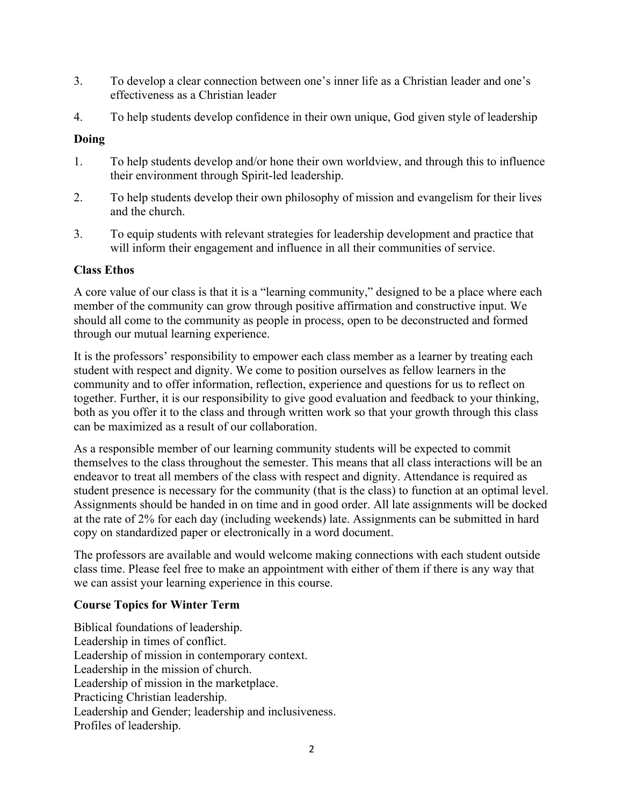- 3. To develop a clear connection between one's inner life as a Christian leader and one's effectiveness as a Christian leader
- 4. To help students develop confidence in their own unique, God given style of leadership

## **Doing**

- 1. To help students develop and/or hone their own worldview, and through this to influence their environment through Spirit-led leadership.
- 2. To help students develop their own philosophy of mission and evangelism for their lives and the church.
- 3. To equip students with relevant strategies for leadership development and practice that will inform their engagement and influence in all their communities of service.

### **Class Ethos**

A core value of our class is that it is a "learning community," designed to be a place where each member of the community can grow through positive affirmation and constructive input. We should all come to the community as people in process, open to be deconstructed and formed through our mutual learning experience.

It is the professors' responsibility to empower each class member as a learner by treating each student with respect and dignity. We come to position ourselves as fellow learners in the community and to offer information, reflection, experience and questions for us to reflect on together. Further, it is our responsibility to give good evaluation and feedback to your thinking, both as you offer it to the class and through written work so that your growth through this class can be maximized as a result of our collaboration.

As a responsible member of our learning community students will be expected to commit themselves to the class throughout the semester. This means that all class interactions will be an endeavor to treat all members of the class with respect and dignity. Attendance is required as student presence is necessary for the community (that is the class) to function at an optimal level. Assignments should be handed in on time and in good order. All late assignments will be docked at the rate of 2% for each day (including weekends) late. Assignments can be submitted in hard copy on standardized paper or electronically in a word document.

The professors are available and would welcome making connections with each student outside class time. Please feel free to make an appointment with either of them if there is any way that we can assist your learning experience in this course.

# **Course Topics for Winter Term**

Biblical foundations of leadership. Leadership in times of conflict. Leadership of mission in contemporary context. Leadership in the mission of church. Leadership of mission in the marketplace. Practicing Christian leadership. Leadership and Gender; leadership and inclusiveness. Profiles of leadership.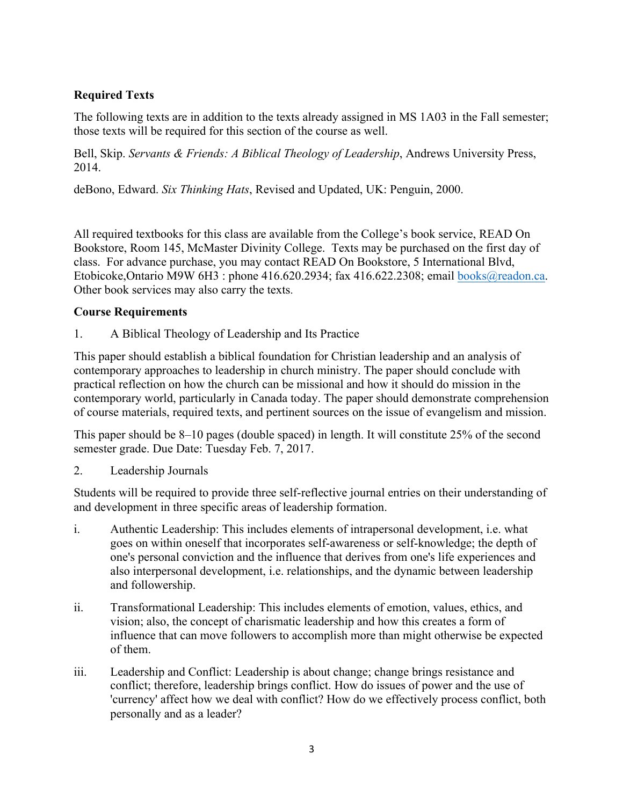# **Required Texts**

The following texts are in addition to the texts already assigned in MS 1A03 in the Fall semester; those texts will be required for this section of the course as well.

Bell, Skip. *Servants & Friends: A Biblical Theology of Leadership*, Andrews University Press, 2014.

deBono, Edward. *Six Thinking Hats*, Revised and Updated, UK: Penguin, 2000.

All required textbooks for this class are available from the College's book service, READ On Bookstore, Room 145, McMaster Divinity College. Texts may be purchased on the first day of class. For advance purchase, you may contact READ On Bookstore, 5 International Blvd, Etobicoke, Ontario M9W 6H3 : phone 416.620.2934; fax 416.622.2308; email books@readon.ca. Other book services may also carry the texts.

## **Course Requirements**

1. A Biblical Theology of Leadership and Its Practice

This paper should establish a biblical foundation for Christian leadership and an analysis of contemporary approaches to leadership in church ministry. The paper should conclude with practical reflection on how the church can be missional and how it should do mission in the contemporary world, particularly in Canada today. The paper should demonstrate comprehension of course materials, required texts, and pertinent sources on the issue of evangelism and mission.

This paper should be 8–10 pages (double spaced) in length. It will constitute 25% of the second semester grade. Due Date: Tuesday Feb. 7, 2017.

2. Leadership Journals

Students will be required to provide three self-reflective journal entries on their understanding of and development in three specific areas of leadership formation.

- i. Authentic Leadership: This includes elements of intrapersonal development, i.e. what goes on within oneself that incorporates self-awareness or self-knowledge; the depth of one's personal conviction and the influence that derives from one's life experiences and also interpersonal development, i.e. relationships, and the dynamic between leadership and followership.
- ii. Transformational Leadership: This includes elements of emotion, values, ethics, and vision; also, the concept of charismatic leadership and how this creates a form of influence that can move followers to accomplish more than might otherwise be expected of them.
- iii. Leadership and Conflict: Leadership is about change; change brings resistance and conflict; therefore, leadership brings conflict. How do issues of power and the use of 'currency' affect how we deal with conflict? How do we effectively process conflict, both personally and as a leader?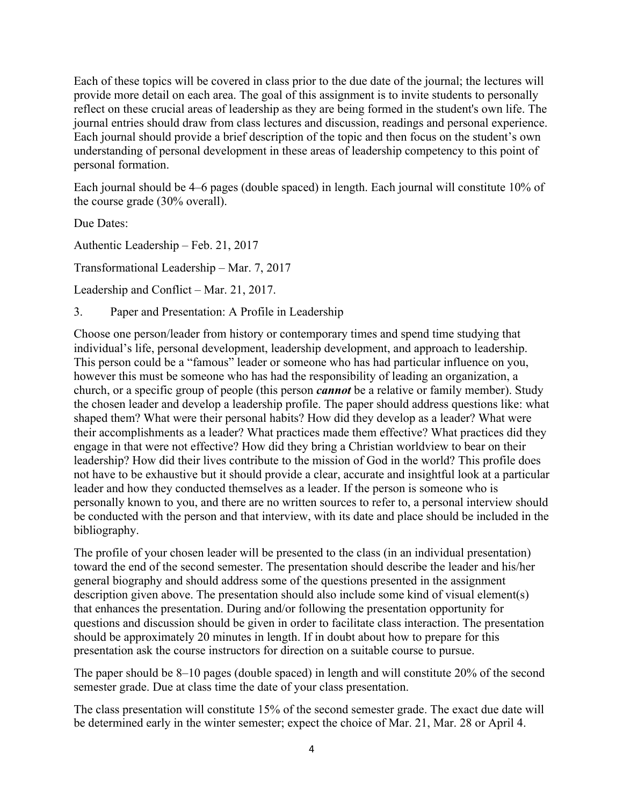Each of these topics will be covered in class prior to the due date of the journal; the lectures will provide more detail on each area. The goal of this assignment is to invite students to personally reflect on these crucial areas of leadership as they are being formed in the student's own life. The journal entries should draw from class lectures and discussion, readings and personal experience. Each journal should provide a brief description of the topic and then focus on the student's own understanding of personal development in these areas of leadership competency to this point of personal formation.

Each journal should be 4–6 pages (double spaced) in length. Each journal will constitute 10% of the course grade (30% overall).

Due Dates:

Authentic Leadership – Feb. 21, 2017

Transformational Leadership – Mar. 7, 2017

Leadership and Conflict – Mar. 21, 2017.

3. Paper and Presentation: A Profile in Leadership

Choose one person/leader from history or contemporary times and spend time studying that individual's life, personal development, leadership development, and approach to leadership. This person could be a "famous" leader or someone who has had particular influence on you, however this must be someone who has had the responsibility of leading an organization, a church, or a specific group of people (this person *cannot* be a relative or family member). Study the chosen leader and develop a leadership profile. The paper should address questions like: what shaped them? What were their personal habits? How did they develop as a leader? What were their accomplishments as a leader? What practices made them effective? What practices did they engage in that were not effective? How did they bring a Christian worldview to bear on their leadership? How did their lives contribute to the mission of God in the world? This profile does not have to be exhaustive but it should provide a clear, accurate and insightful look at a particular leader and how they conducted themselves as a leader. If the person is someone who is personally known to you, and there are no written sources to refer to, a personal interview should be conducted with the person and that interview, with its date and place should be included in the bibliography.

The profile of your chosen leader will be presented to the class (in an individual presentation) toward the end of the second semester. The presentation should describe the leader and his/her general biography and should address some of the questions presented in the assignment description given above. The presentation should also include some kind of visual element(s) that enhances the presentation. During and/or following the presentation opportunity for questions and discussion should be given in order to facilitate class interaction. The presentation should be approximately 20 minutes in length. If in doubt about how to prepare for this presentation ask the course instructors for direction on a suitable course to pursue.

The paper should be 8–10 pages (double spaced) in length and will constitute 20% of the second semester grade. Due at class time the date of your class presentation.

The class presentation will constitute 15% of the second semester grade. The exact due date will be determined early in the winter semester; expect the choice of Mar. 21, Mar. 28 or April 4.